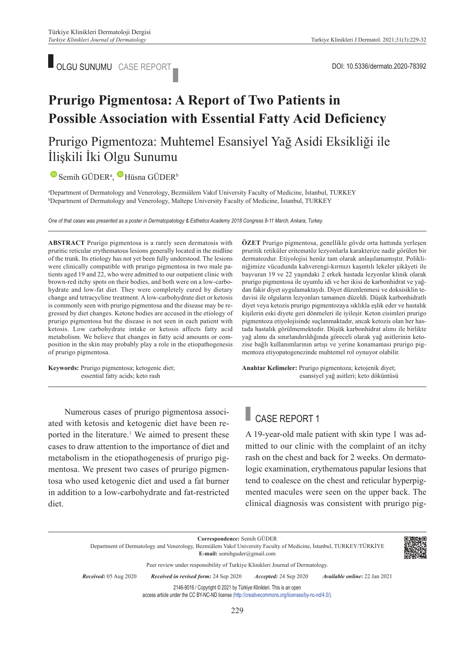

# **Prurigo Pigmentosa: A Report of Two Patients in Possible Association with Essential Fatty Acid Deficiency**

## Prurigo Pigmentoza: Muhtemel Esansiyel Yağ Asidi Eksikliği ile İlişkili İki Olgu Sunumu

SemihGÜDER<sup>a</sup>, Hüsna GÜDER<sup>b</sup>

a Department of Dermatology and Venerology, Bezmiâlem Vakıf University Faculty of Medicine, İstanbul, TURKEY b <sup>b</sup>Department of Dermatology and Venerology, Maltepe University Faculty of Medicine, İstanbul, TURKEY

*One of that cases was presented as a poster in Dermatopatology & Esthetics Academy 2018 Congress 8-11 March, Ankara, Turkey.*

**ABS TRACT** Prurigo pigmentosa is a rarely seen dermatosis with pruritic reticular erythematous lesions generally located in the midline of the trunk. Its etiology has not yet been fully understood. The lesions were clinically compatible with prurigo pigmentosa in two male patients aged 19 and 22, who were admitted to our outpatient clinic with brown-red itchy spots on their bodies, and both were on a low-carbohydrate and low-fat diet. They were completely cured by dietary change and tetracycline treatment. A low-carbohydrate diet or ketosis is commonly seen with prurigo pigmentosa and the disease may be regressed by diet changes. Ketone bodies are accused in the etiology of prurigo pigmentosa but the disease is not seen in each patient with ketosis. Low carbohydrate intake or ketosis affects fatty acid metabolism. We believe that changes in fatty acid amounts or composition in the skin may probably play a role in the etiopathogenesis of prurigo pigmentosa.

**Keywords:** Prurigo pigmentosa; ketogenic diet; essential fatty acids; keto rash

**ÖZET** Prurigo pigmentosa, genellikle gövde orta hattında yerleşen pruritik retiküler eritematöz lezyonlarla karakterize nadir görülen bir dermatozdur. Etiyolojisi henüz tam olarak anlaşılamamıştır. Polikliniğimize vücudunda kahverengi-kırmızı kaşıntılı lekeler şikâyeti ile başvuran 19 ve 22 yaşındaki 2 erkek hastada lezyonlar klinik olarak prurigo pigmentosa ile uyumlu idi ve her ikisi de karbonhidrat ve yağdan fakir diyet uygulamaktaydı. Diyet düzenlenmesi ve doksisiklin tedavisi ile olguların lezyonları tamamen düzeldi. Düşük karbonhidratlı diyet veya ketozis prurigo pigmentozaya sıklıkla eşlik eder ve hastalık kişilerin eski diyete geri dönmeleri ile iyileşir. Keton cisimleri prurigo pigmentoza etiyolojisinde suçlanmaktadır, ancak ketozis olan her hastada hastalık görülmemektedir. Düşük karbonhidrat alımı ile birlikte yağ alımı da sınırlandırıldığında göreceli olarak yağ asitlerinin ketozise bağlı kullanımlarının artışı ve yerine konamaması prurigo pigmentoza etiyopatogenezinde muhtemel rol oynuyor olabilir.

Anahtar Kelimeler: Prurigo pigmentoza; ketojenik diyet; esansiyel yağ asitleri; keto döküntüsü

### Numerous cases of prurigo pigmentosa associated with ketosis and ketogenic diet have been reported in the literature.<sup>1</sup> We aimed to present these cases to draw attention to the importance of diet and metabolism in the etiopathogenesis of prurigo pigmentosa. We present two cases of prurigo pigmentosa who used ketogenic diet and used a fat burner in addition to a low-carbohydrate and fat-restricted diet.

# CASE REPORT 1

A 19-year-old male patient with skin type 1 was admitted to our clinic with the complaint of an itchy rash on the chest and back for 2 weeks. On dermatologic examination, erythematous papular lesions that tend to coalesce on the chest and reticular hyperpigmented macules were seen on the upper back. The clinical diagnosis was consistent with prurigo pig-

**Correspondence:** Semih GÜDER

Department of Dermatology and Venerology, Bezmiâlem Vakıf University Faculty of Medicine, İstanbul, TURKEY/TÜRKİYE **E-mail:** semihguder@gmail.com

Peer review under responsibility of Turkiye Klinikleri Journal of Dermatology.

*Re ce i ved:* 05 Aug 2020 *Received in revised form:* 24 Sep 2020 *Ac cep ted:* 24 Sep 2020 *Available online***:** 22 Jan 2021

2146-9016 / Copyright © 2021 by Türkiye Klinikleri. This is an open

access article under the CC BY-NC-ND license [\(http://creativecommons.org/licenses/by-nc-nd/4.0/\)](https://creativecommons.org/licenses/by-nc-nd/4.0/).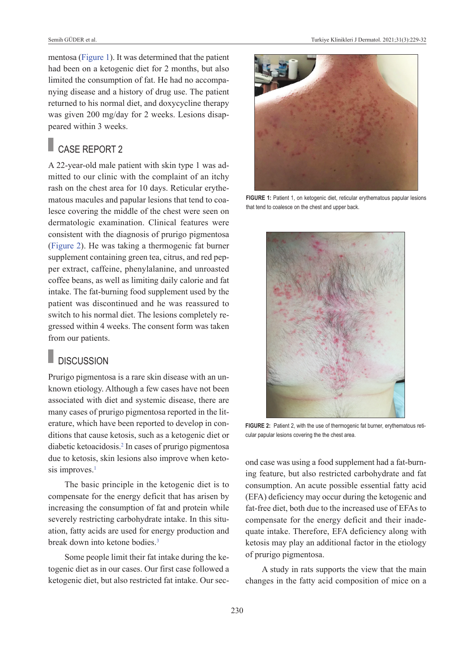mentosa [\(Figure 1\)](#page-1-0). It was determined that the patient had been on a ketogenic diet for 2 months, but also limited the consumption of fat. He had no accompanying disease and a history of drug use. The patient returned to his normal diet, and doxycycline therapy was given 200 mg/day for 2 weeks. Lesions disappeared within 3 weeks.

## CASE REPORT 2

A 22-year-old male patient with skin type 1 was admitted to our clinic with the complaint of an itchy rash on the chest area for 10 days. Reticular erythematous macules and papular lesions that tend to coalesce covering the middle of the chest were seen on dermatologic examination. Clinical features were consistent with the diagnosis of prurigo pigmentosa [\(Figure 2\)](#page-3-0). He was taking a thermogenic fat burner supplement containing green tea, citrus, and red pepper extract, caffeine, phenylalanine, and unroasted coffee beans, as well as limiting daily calorie and fat intake. The fat-burning food supplement used by the patient was discontinued and he was reassured to switch to his normal diet. The lesions completely regressed within 4 weeks. The consent form was taken from our patients.

### **DISCUSSION**

Prurigo pigmentosa is a rare skin disease with an unknown etiology. Although a few cases have not been associated with diet and systemic disease, there are many cases of prurigo pigmentosa reported in the literature, which have been reported to develop in conditions that cause ketosis, such as a ketogenic diet or diabetic ketoacidosis[.2](#page-3-0) In cases of prurigo pigmentosa due to ketosis, skin lesions also improve when ketosis improves.<sup>1</sup>

The basic principle in the ketogenic diet is to compensate for the energy deficit that has arisen by increasing the consumption of fat and protein while severely restricting carbohydrate intake. In this situation, fatty acids are used for energy production and break down into ketone bodies.<sup>3</sup>

Some people limit their fat intake during the ketogenic diet as in our cases. Our first case followed a ketogenic diet, but also restricted fat intake. Our sec-



**FIGURE 1:** Patient 1, on ketogenic diet, reticular erythematous papular lesions that tend to coalesce on the chest and upper back.

<span id="page-1-0"></span>

**FIGURE 2:** Patient 2, with the use of thermogenic fat burner, erythematous reticular papular lesions covering the the chest area.

ond case was using a food supplement had a fat-burning feature, but also restricted carbohydrate and fat consumption. An acute possible essential fatty acid (EFA) deficiency may occur during the ketogenic and fat-free diet, both due to the increased use of EFAs to compensate for the energy deficit and their inadequate intake. Therefore, EFA deficiency along with ketosis may play an additional factor in the etiology of prurigo pigmentosa.

A study in rats supports the view that the main changes in the fatty acid composition of mice on a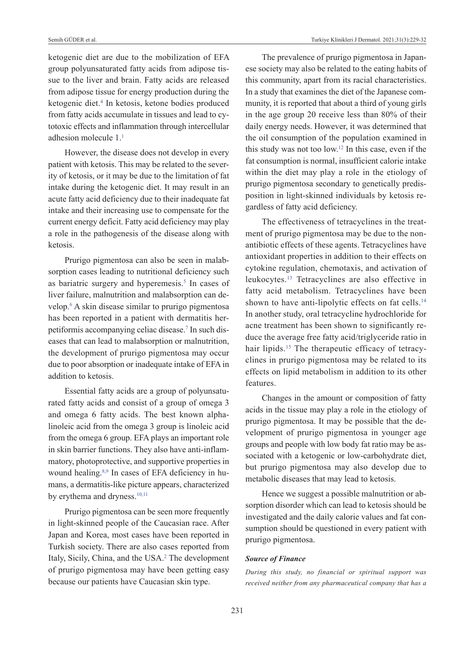ketogenic diet are due to the mobilization of EFA group polyunsaturated fatty acids from adipose tissue to the liver and brain. Fatty acids are released from adipose tissue for energy production during the ketogenic diet.<sup>4</sup> In ketosis, ketone bodies produced from fatty acids accumulate in tissues and lead to cytotoxic effects and inflammation through intercellular adhesion molecule 1[.1](#page-3-0)

However, the disease does not develop in every patient with ketosis. This may be related to the severity of ketosis, or it may be due to the limitation of fat intake during the ketogenic diet. It may result in an acute fatty acid deficiency due to their inadequate fat intake and their increasing use to compensate for the current energy deficit. Fatty acid deficiency may play a role in the pathogenesis of the disease along with ketosis.

Prurigo pigmentosa can also be seen in malabsorption cases leading to nutritional deficiency such as bariatric surgery and hyperemesis.<sup>5</sup> In cases of liver failure, malnutrition and malabsorption can develop[.6](#page-3-0) A skin disease similar to prurigo pigmentosa has been reported in a patient with dermatitis herpetiformis accompanying celiac disease.<sup>7</sup> In such diseases that can lead to malabsorption or malnutrition, the development of prurigo pigmentosa may occur due to poor absorption or inadequate intake of EFA in addition to ketosis.

Essential fatty acids are a group of polyunsaturated fatty acids and consist of a group of omega 3 and omega 6 fatty acids. The best known alphalinoleic acid from the omega 3 group is linoleic acid from the omega 6 group. EFA plays an important role in skin barrier functions. They also have anti-inflammatory, photoprotective, and supportive properties in wound healing[.8,9](#page-3-0) In cases of EFA deficiency in humans, a dermatitis-like picture appears, characterized by erythema and dryness.<sup>10,11</sup>

Prurigo pigmentosa can be seen more frequently in light-skinned people of the Caucasian race. After Japan and Korea, most cases have been reported in Turkish society. There are also cases reported from Italy, Sicily, China, and the USA.<sup>2</sup> The development of prurigo pigmentosa may have been getting easy because our patients have Caucasian skin type.

The prevalence of prurigo pigmentosa in Japanese society may also be related to the eating habits of this community, apart from its racial characteristics. In a study that examines the diet of the Japanese community, it is reported that about a third of young girls in the age group 20 receive less than 80% of their daily energy needs. However, it was determined that the oil consumption of the population examined in this study was not too low[.12](#page-3-0) In this case, even if the fat consumption is normal, insufficient calorie intake within the diet may play a role in the etiology of prurigo pigmentosa secondary to genetically predisposition in light-skinned individuals by ketosis regardless of fatty acid deficiency.

The effectiveness of tetracyclines in the treatment of prurigo pigmentosa may be due to the nonantibiotic effects of these agents. Tetracyclines have antioxidant properties in addition to their effects on cytokine regulation, chemotaxis, and activation of leukocytes[.13](#page-3-0) Tetracyclines are also effective in fatty acid metabolism. Tetracyclines have been shown to have anti-lipolytic effects on fat cells.<sup>14</sup> In another study, oral tetracycline hydrochloride for acne treatment has been shown to significantly reduce the average free fatty acid/triglyceride ratio in hair lipids.<sup>15</sup> The therapeutic efficacy of tetracyclines in prurigo pigmentosa may be related to its effects on lipid metabolism in addition to its other features.

Changes in the amount or composition of fatty acids in the tissue may play a role in the etiology of prurigo pigmentosa. It may be possible that the development of prurigo pigmentosa in younger age groups and people with low body fat ratio may be associated with a ketogenic or low-carbohydrate diet, but prurigo pigmentosa may also develop due to metabolic diseases that may lead to ketosis.

Hence we suggest a possible malnutrition or absorption disorder which can lead to ketosis should be investigated and the daily calorie values and fat consumption should be questioned in every patient with prurigo pigmentosa.

#### *Source of Finance*

*During this study, no financial or spiritual support was received neither from any pharmaceutical company that has a*